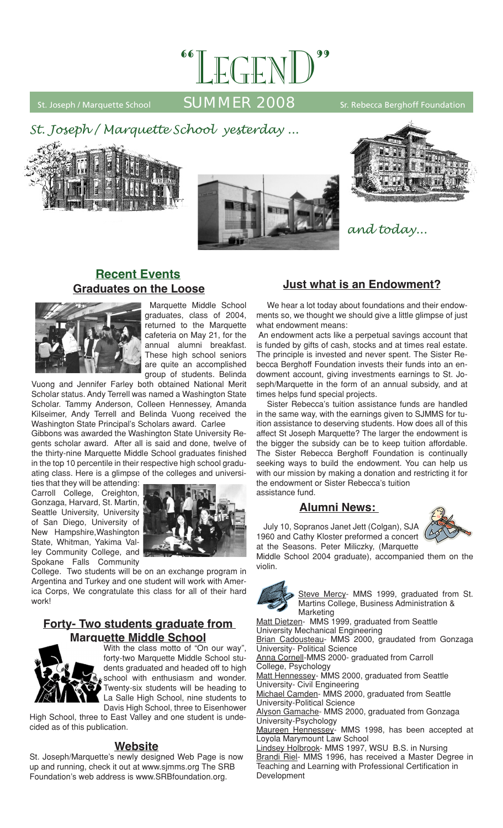

# St. Joseph / Marquette School  $\overline{\text{SUMMER } 2008}$  Sr. Rebecca Berghoff Foundation







# **Recent Events Graduates on the Loose**



Marquette Middle School graduates, class of 2004, returned to the Marquette cafeteria on May 21, for the annual alumni breakfast. These high school seniors are quite an accomplished group of students. Belinda

Vuong and Jennifer Farley both obtained National Merit Scholar status. Andy Terrell was named a Washington State Scholar. Tammy Anderson, Colleen Hennessey, Amanda Kilseimer, Andy Terrell and Belinda Vuong received the Washington State Principal's Scholars award. Carlee

Gibbons was awarded the Washington State University Regents scholar award. After all is said and done, twelve of the thirty-nine Marquette Middle School graduates finished in the top 10 percentile in their respective high school graduating class. Here is a glimpse of the colleges and universi-

ties that they will be attending: Carroll College, Creighton, Gonzaga, Harvard, St. Martin, Seattle University, University of San Diego, University of New Hampshire,Washington State, Whitman, Yakima Valley Community College, and Spokane Falls Community



College. Two students will be on an exchange program in Argentina and Turkey and one student will work with America Corps, We congratulate this class for all of their hard work!

# **Forty- Two students graduate from Marquette Middle School**



With the class motto of "On our way", forty-two Marquette Middle School students graduated and headed off to high school with enthusiasm and wonder. Twenty-six students will be heading to La Salle High School, nine students to Davis High School, three to Eisenhower

High School, three to East Valley and one student is undecided as of this publication.

#### **Website**

St. Joseph/Marquette's newly designed Web Page is now up and running, check it out at www.sjmms.org The SRB Foundation's web address is www.SRBfoundation.org.

# **Just what is an Endowment?**

We hear a lot today about foundations and their endowments so, we thought we should give a little glimpse of just what endowment means:

 An endowment acts like a perpetual savings account that is funded by gifts of cash, stocks and at times real estate. The principle is invested and never spent. The Sister Rebecca Berghoff Foundation invests their funds into an endowment account, giving investments earnings to St. Joseph/Marquette in the form of an annual subsidy, and at times helps fund special projects.

Sister Rebecca's tuition assistance funds are handled in the same way, with the earnings given to SJMMS for tuition assistance to deserving students. How does all of this affect St Joseph Marquette? The larger the endowment is the bigger the subsidy can be to keep tuition affordable. The Sister Rebecca Berghoff Foundation is continually seeking ways to build the endowment. You can help us with our mission by making a donation and restricting it for the endowment or Sister Rebecca's tuition assistance fund.

### **Alumni News:**

July 10, Sopranos Janet Jett (Colgan), SJA 1960 and Cathy Kloster preformed a concert at the Seasons. Peter Miliczky, (Marquette



Middle School 2004 graduate), accompanied them on the violin.



Steve Mercy- MMS 1999, graduated from St. Martins College, Business Administration & Marketing

Matt Dietzen- MMS 1999, graduated from Seattle University Mechanical Engineering Brian Cadousteau- MMS 2000, graudated from Gonzaga University- Political Science Anna Cornell-MMS 2000- graduated from Carroll College, Psychology Matt Hennessey- MMS 2000, graduated from Seattle University- Civil Engineering Michael Camden- MMS 2000, graduated from Seattle University-Political Science Alyson Gamache- MMS 2000, graduated from Gonzaga University-Psychology Maureen Hennessey- MMS 1998, has been accepted at Loyola Marymount Law School Lindsey Holbrook- MMS 1997, WSU B.S. in Nursing Brandi Riel- MMS 1996, has received a Master Degree in Teaching and Learning with Professional Certification in

Development